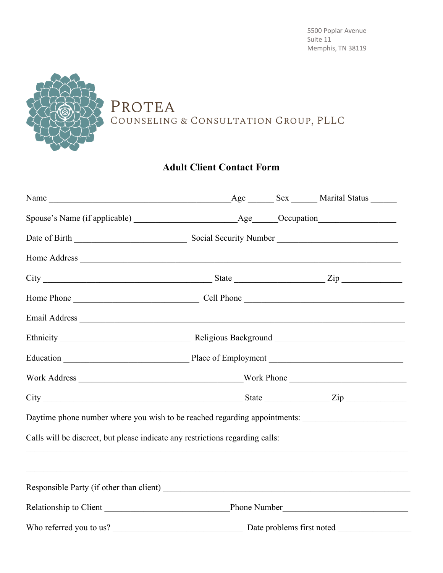## PROTEA COUNSELING & CONSULTATION GROUP, PLLC

## **Adult Client Contact Form**

| $City$ $City$ $Zip$                                                                                  |  |  |  |  |  |  |
|------------------------------------------------------------------------------------------------------|--|--|--|--|--|--|
|                                                                                                      |  |  |  |  |  |  |
|                                                                                                      |  |  |  |  |  |  |
|                                                                                                      |  |  |  |  |  |  |
|                                                                                                      |  |  |  |  |  |  |
|                                                                                                      |  |  |  |  |  |  |
|                                                                                                      |  |  |  |  |  |  |
| Daytime phone number where you wish to be reached regarding appointments: __________________________ |  |  |  |  |  |  |
| Calls will be discreet, but please indicate any restrictions regarding calls:                        |  |  |  |  |  |  |
|                                                                                                      |  |  |  |  |  |  |
|                                                                                                      |  |  |  |  |  |  |
|                                                                                                      |  |  |  |  |  |  |
|                                                                                                      |  |  |  |  |  |  |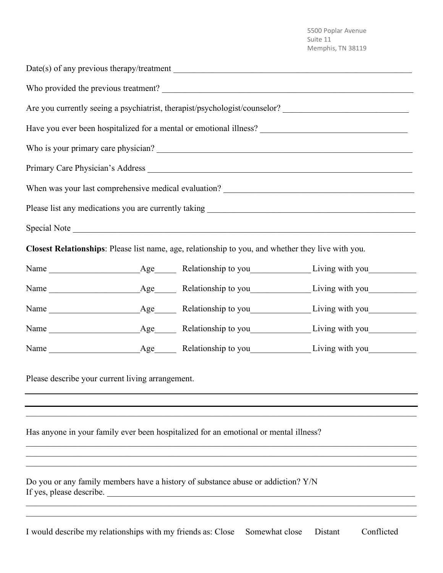|                                                                                                              |  |                                                                                                    | Are you currently seeing a psychiatrist, therapist/psychologist/counselor? ___________________________________ |  |  |
|--------------------------------------------------------------------------------------------------------------|--|----------------------------------------------------------------------------------------------------|----------------------------------------------------------------------------------------------------------------|--|--|
|                                                                                                              |  |                                                                                                    |                                                                                                                |  |  |
|                                                                                                              |  |                                                                                                    |                                                                                                                |  |  |
|                                                                                                              |  |                                                                                                    | Primary Care Physician's Address                                                                               |  |  |
|                                                                                                              |  |                                                                                                    |                                                                                                                |  |  |
|                                                                                                              |  |                                                                                                    |                                                                                                                |  |  |
|                                                                                                              |  | Special Note                                                                                       |                                                                                                                |  |  |
|                                                                                                              |  | Closest Relationships: Please list name, age, relationship to you, and whether they live with you. |                                                                                                                |  |  |
|                                                                                                              |  |                                                                                                    |                                                                                                                |  |  |
|                                                                                                              |  |                                                                                                    |                                                                                                                |  |  |
|                                                                                                              |  |                                                                                                    |                                                                                                                |  |  |
|                                                                                                              |  |                                                                                                    |                                                                                                                |  |  |
|                                                                                                              |  |                                                                                                    |                                                                                                                |  |  |
| Please describe your current living arrangement.                                                             |  |                                                                                                    |                                                                                                                |  |  |
| Has anyone in your family ever been hospitalized for an emotional or mental illness?                         |  |                                                                                                    |                                                                                                                |  |  |
| Do you or any family members have a history of substance abuse or addiction? Y/N<br>If yes, please describe. |  |                                                                                                    |                                                                                                                |  |  |
|                                                                                                              |  |                                                                                                    |                                                                                                                |  |  |

I would describe my relationships with my friends as: Close Somewhat close Distant Conflicted